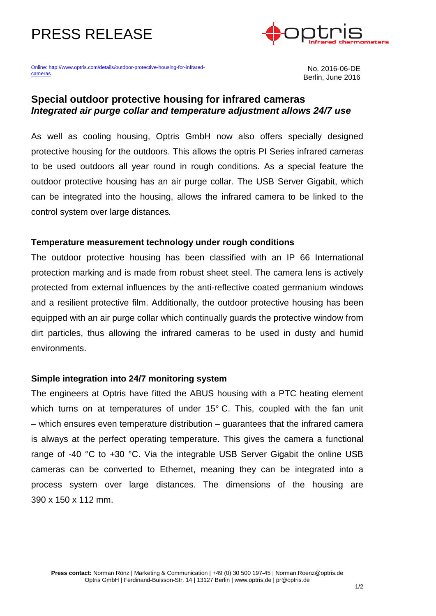# PRESS RELEASE



Online: <u>http://www.optris.com/details/outdoor-protective-housing-for-infrared-</u> Mo. 2016-06-DE<br>Cameras No. 2016-06-DE

Berlin, June 2016

## **Special outdoor protective housing for infrared cameras** *Integrated air purge collar and temperature adjustment allows 24/7 use*

As well as cooling housing, Optris GmbH now also offers specially designed protective housing for the outdoors. This allows the optris PI Series infrared cameras to be used outdoors all year round in rough conditions. As a special feature the outdoor protective housing has an air purge collar. The USB Server Gigabit, which can be integrated into the housing, allows the infrared camera to be linked to the control system over large distances*.*

### **Temperature measurement technology under rough conditions**

The outdoor protective housing has been classified with an IP 66 International protection marking and is made from robust sheet steel. The camera lens is actively protected from external influences by the anti-reflective coated germanium windows and a resilient protective film. Additionally, the outdoor protective housing has been equipped with an air purge collar which continually guards the protective window from dirt particles, thus allowing the infrared cameras to be used in dusty and humid environments.

### **Simple integration into 24/7 monitoring system**

The engineers at Optris have fitted the ABUS housing with a PTC heating element which turns on at temperatures of under 15° C. This, coupled with the fan unit – which ensures even temperature distribution – guarantees that the infrared camera is always at the perfect operating temperature. This gives the camera a functional range of -40 °C to +30 °C. Via the integrable USB Server Gigabit the online USB cameras can be converted to Ethernet, meaning they can be integrated into a process system over large distances. The dimensions of the housing are 390 x 150 x 112 mm.